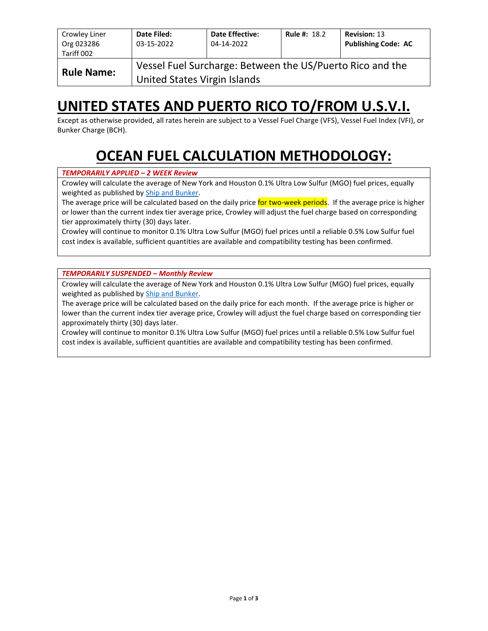| Crowley Liner<br>Org 023286<br>Tariff 002 | Date Filed:<br>03-15-2022    | <b>Date Effective:</b><br>04-14-2022                      | <b>Rule #: 18.2</b> | <b>Revision: 13</b><br><b>Publishing Code: AC</b> |
|-------------------------------------------|------------------------------|-----------------------------------------------------------|---------------------|---------------------------------------------------|
| <b>Rule Name:</b>                         | United States Virgin Islands | Vessel Fuel Surcharge: Between the US/Puerto Rico and the |                     |                                                   |

## **UNITED STATES AND PUERTO RICO TO/FROM U.S.V.I.**

Except as otherwise provided, all rates herein are subject to a Vessel Fuel Charge (VFS), Vessel Fuel Index (VFI), or Bunker Charge (BCH).

# **OCEAN FUEL CALCULATION METHODOLOGY:**

#### *TEMPORARILY APPLIED – 2 WEEK Review*

Crowley will calculate the average of New York and Houston 0.1% Ultra Low Sulfur (MGO) fuel prices, equally weighted as published by [Ship and Bunker.](https://shipandbunker.com/)

The average price will be calculated based on the daily price for two-week periods. If the average price is higher or lower than the current index tier average price, Crowley will adjust the fuel charge based on corresponding tier approximately thirty (30) days later.

Crowley will continue to monitor 0.1% Ultra Low Sulfur (MGO) fuel prices until a reliable 0.5% Low Sulfur fuel cost index is available, sufficient quantities are available and compatibility testing has been confirmed.

*TEMPORARILY SUSPENDED – Monthly Review*

Crowley will calculate the average of New York and Houston 0.1% Ultra Low Sulfur (MGO) fuel prices, equally weighted as published by [Ship and Bunker.](https://shipandbunker.com/)

The average price will be calculated based on the daily price for each month. If the average price is higher or lower than the current index tier average price, Crowley will adjust the fuel charge based on corresponding tier approximately thirty (30) days later.

Crowley will continue to monitor 0.1% Ultra Low Sulfur (MGO) fuel prices until a reliable 0.5% Low Sulfur fuel cost index is available, sufficient quantities are available and compatibility testing has been confirmed.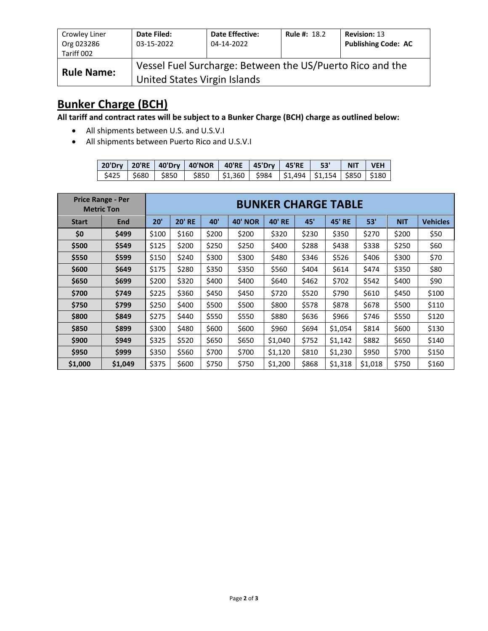| Crowley Liner<br>Org 023286<br>Tariff 002 | Date Filed:<br>03-15-2022    | <b>Date Effective:</b><br>04-14-2022                      | <b>Rule #: 18.2</b> | <b>Revision: 13</b><br><b>Publishing Code: AC</b> |
|-------------------------------------------|------------------------------|-----------------------------------------------------------|---------------------|---------------------------------------------------|
| <b>Rule Name:</b>                         | United States Virgin Islands | Vessel Fuel Surcharge: Between the US/Puerto Rico and the |                     |                                                   |

## **Bunker Charge (BCH)**

**All tariff and contract rates will be subject to a Bunker Charge (BCH) charge as outlined below:**

- All shipments between U.S. and U.S.V.I
- All shipments between Puerto Rico and U.S.V.I

|  | 20'Dry   20'RE   40'Dry   40'NOR   40'RE   45'Dry   45'RE   53'                     |  |  | NIT VEH |  |
|--|-------------------------------------------------------------------------------------|--|--|---------|--|
|  | \$425   \$680   \$850   \$850   \$1,360   \$984   \$1,494   \$1,154   \$850   \$180 |  |  |         |  |

|              | <b>Price Range - Per</b><br><b>Metric Ton</b> | <b>BUNKER CHARGE TABLE</b> |               |       |                |               |       |               |         |            |                 |
|--------------|-----------------------------------------------|----------------------------|---------------|-------|----------------|---------------|-------|---------------|---------|------------|-----------------|
| <b>Start</b> | <b>End</b>                                    | 20'                        | <b>20' RE</b> | 40'   | <b>40' NOR</b> | <b>40' RE</b> | 45'   | <b>45' RE</b> | 53'     | <b>NIT</b> | <b>Vehicles</b> |
| \$0          | \$499                                         | \$100                      | \$160         | \$200 | \$200          | \$320         | \$230 | \$350         | \$270   | \$200      | \$50            |
| \$500        | \$549                                         | \$125                      | \$200         | \$250 | \$250          | \$400         | \$288 | \$438         | \$338   | \$250      | \$60            |
| \$550        | \$599                                         | \$150                      | \$240         | \$300 | \$300          | \$480         | \$346 | \$526         | \$406   | \$300      | \$70            |
| \$600        | \$649                                         | \$175                      | \$280         | \$350 | \$350          | \$560         | \$404 | \$614         | \$474   | \$350      | \$80            |
| \$650        | \$699                                         | \$200                      | \$320         | \$400 | \$400          | \$640         | \$462 | \$702         | \$542   | \$400      | \$90            |
| \$700        | \$749                                         | \$225                      | \$360         | \$450 | \$450          | \$720         | \$520 | \$790         | \$610   | \$450      | \$100           |
| \$750        | \$799                                         | \$250                      | \$400         | \$500 | \$500          | \$800         | \$578 | \$878         | \$678   | \$500      | \$110           |
| \$800        | \$849                                         | \$275                      | \$440         | \$550 | \$550          | \$880         | \$636 | \$966         | \$746   | \$550      | \$120           |
| \$850        | \$899                                         | \$300                      | \$480         | \$600 | \$600          | \$960         | \$694 | \$1,054       | \$814   | \$600      | \$130           |
| \$900        | \$949                                         | \$325                      | \$520         | \$650 | \$650          | \$1,040       | \$752 | \$1,142       | \$882   | \$650      | \$140           |
| \$950        | \$999                                         | \$350                      | \$560         | \$700 | \$700          | \$1,120       | \$810 | \$1,230       | \$950   | \$700      | \$150           |
| \$1,000      | \$1,049                                       | \$375                      | \$600         | \$750 | \$750          | \$1,200       | \$868 | \$1,318       | \$1,018 | \$750      | \$160           |